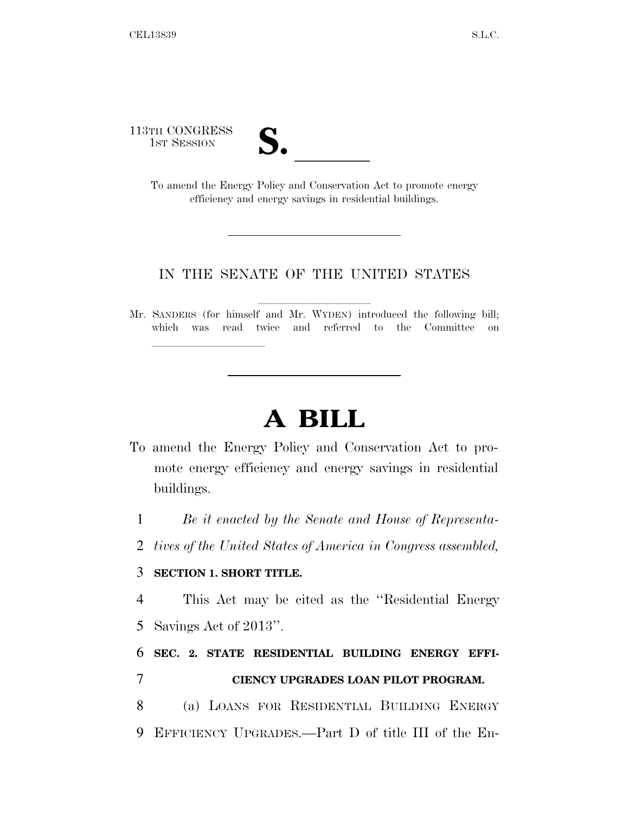113TH CONGRESS

TH CONGRESS<br>
1st Session<br>
To amend the Energy Policy and Conservation Act to promote energy efficiency and energy savings in residential buildings.

#### IN THE SENATE OF THE UNITED STATES

Mr. SANDERS (for himself and Mr. WYDEN) introduced the following bill; which was read twice and referred to the Committee on

# **A BILL**

- To amend the Energy Policy and Conservation Act to promote energy efficiency and energy savings in residential buildings.
	- 1 *Be it enacted by the Senate and House of Representa-*
	- 2 *tives of the United States of America in Congress assembled,*

### 3 **SECTION 1. SHORT TITLE.**

lle and a second control of the second control of the second control of the second control of the second control of the second control of the second control of the second control of the second control of the second control

4 This Act may be cited as the ''Residential Energy 5 Savings Act of 2013''.

## 6 **SEC. 2. STATE RESIDENTIAL BUILDING ENERGY EFFI-**7 **CIENCY UPGRADES LOAN PILOT PROGRAM.**

8 (a) LOANS FOR RESIDENTIAL BUILDING ENERGY 9 EFFICIENCY UPGRADES.—Part D of title III of the En-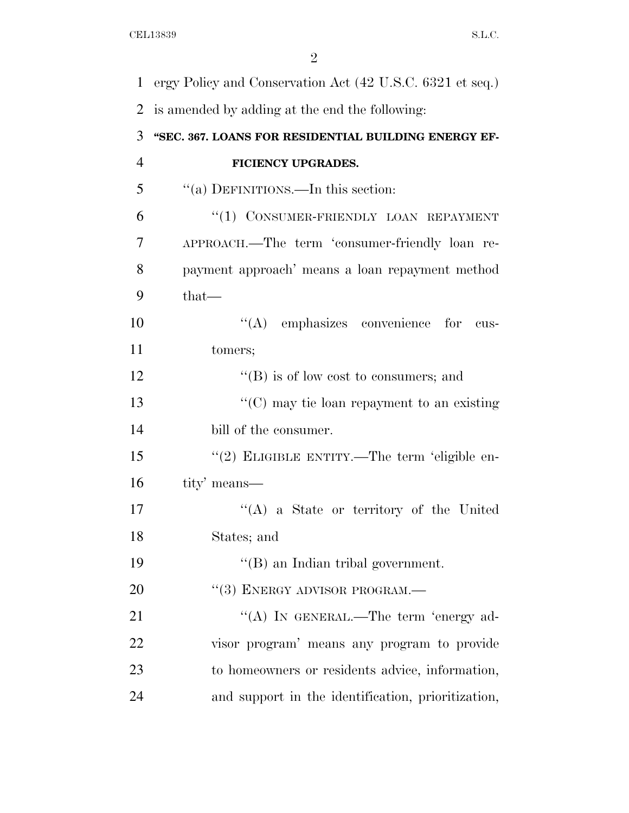| $\mathbf{1}$ | ergy Policy and Conservation Act (42 U.S.C. 6321 et seq.) |
|--------------|-----------------------------------------------------------|
| 2            | is amended by adding at the end the following:            |
| 3            | "SEC. 367. LOANS FOR RESIDENTIAL BUILDING ENERGY EF-      |
| 4            | FICIENCY UPGRADES.                                        |
| 5            | "(a) DEFINITIONS.—In this section:                        |
| 6            | "(1) CONSUMER-FRIENDLY LOAN REPAYMENT                     |
| 7            | APPROACH.—The term 'consumer-friendly loan re-            |
| 8            | payment approach' means a loan repayment method           |
| 9            | $that-$                                                   |
| 10           | $\lq\lq$ emphasizes convenience for<br>cus-               |
| 11           | tomers;                                                   |
| 12           | $\lq\lq (B)$ is of low cost to consumers; and             |
| 13           | " $(C)$ may tie loan repayment to an existing             |
| 14           | bill of the consumer.                                     |
| 15           | "(2) ELIGIBLE ENTITY.—The term 'eligible en-              |
| 16           | tity' means—                                              |
| 17           | "(A) a State or territory of the United                   |
| 18           | States; and                                               |
| 19           | $\lq\lq$ an Indian tribal government.                     |
| 20           | $``(3)$ ENERGY ADVISOR PROGRAM.—                          |
| 21           | "(A) IN GENERAL.—The term 'energy ad-                     |
| 22           | visor program' means any program to provide               |
| 23           | to homeowners or residents advice, information,           |
| 24           | and support in the identification, prioritization,        |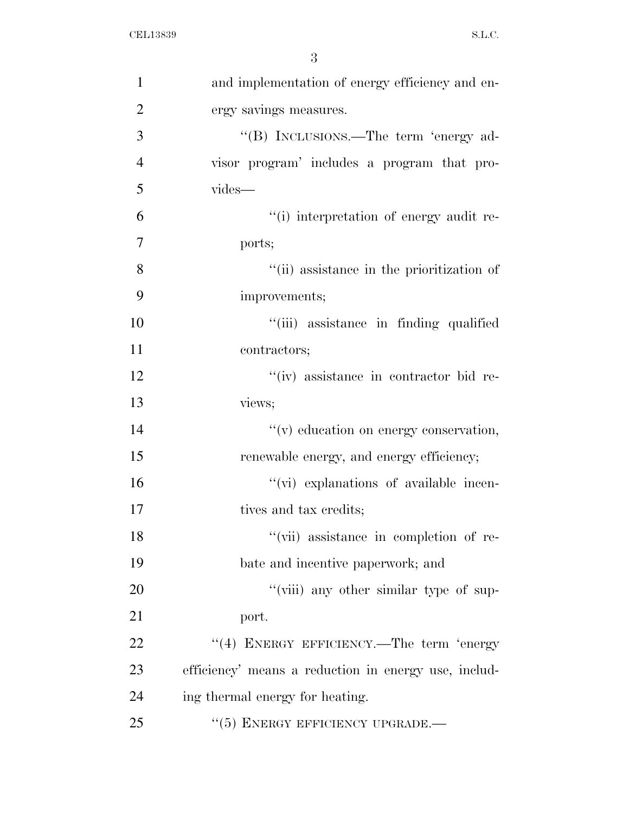| $\mathbf{1}$   | and implementation of energy efficiency and en-      |
|----------------|------------------------------------------------------|
| $\overline{2}$ | ergy savings measures.                               |
| 3              | "(B) INCLUSIONS.—The term 'energy ad-                |
| $\overline{4}$ | visor program' includes a program that pro-          |
| 5              | vides-                                               |
| 6              | "(i) interpretation of energy audit re-              |
| $\overline{7}$ | ports;                                               |
| 8              | "(ii) assistance in the prioritization of            |
| 9              | improvements;                                        |
| 10             | "(iii) assistance in finding qualified               |
| 11             | contractors;                                         |
| 12             | "(iv) assistance in contractor bid re-               |
| 13             | views;                                               |
| 14             | "(v) education on energy conservation,               |
| 15             | renewable energy, and energy efficiency;             |
| 16             | "(vi) explanations of available incen-               |
| 17             | tives and tax credits;                               |
| 18             | "(vii) assistance in completion of re-               |
| 19             | bate and incentive paperwork; and                    |
| 20             | "(viii) any other similar type of sup-               |
| 21             | port.                                                |
| 22             | "(4) ENERGY EFFICIENCY.—The term 'energy             |
| 23             | efficiency' means a reduction in energy use, includ- |
| 24             | ing thermal energy for heating.                      |
| 25             | $``(5)$ ENERGY EFFICIENCY UPGRADE.—                  |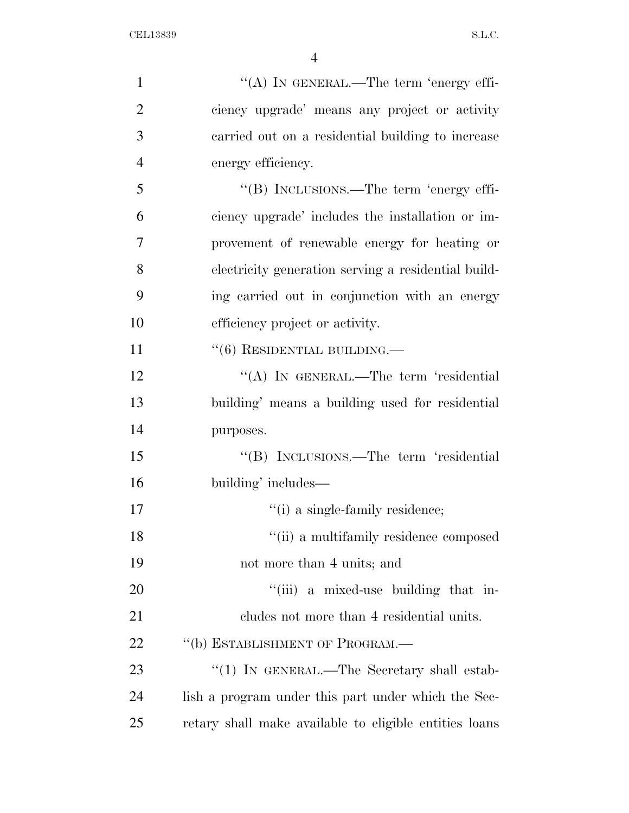| $\mathbf{1}$   | "(A) IN GENERAL.—The term 'energy effi-                |
|----------------|--------------------------------------------------------|
| $\overline{2}$ | ciency upgrade' means any project or activity          |
| 3              | carried out on a residential building to increase      |
| $\overline{4}$ | energy efficiency.                                     |
| 5              | "(B) INCLUSIONS.—The term 'energy effi-                |
| 6              | ciency upgrade' includes the installation or im-       |
| 7              | provement of renewable energy for heating or           |
| 8              | electricity generation serving a residential build-    |
| 9              | ing carried out in conjunction with an energy          |
| 10             | efficiency project or activity.                        |
| 11             | $``(6)$ RESIDENTIAL BUILDING.—                         |
| 12             | "(A) IN GENERAL.—The term 'residential                 |
| 13             | building' means a building used for residential        |
| 14             | purposes.                                              |
| 15             | "(B) INCLUSIONS.—The term 'residential                 |
| 16             | building' includes—                                    |
| 17             | "(i) a single-family residence;                        |
| 18             | "(ii) a multifamily residence composed                 |
| 19             | not more than 4 units; and                             |
| 20             | "(iii) a mixed-use building that in-                   |
| 21             | cludes not more than 4 residential units.              |
| 22             | "(b) ESTABLISHMENT OF PROGRAM.—                        |
| 23             | "(1) IN GENERAL.—The Secretary shall estab-            |
| 24             | lish a program under this part under which the Sec-    |
| 25             | retary shall make available to eligible entities loans |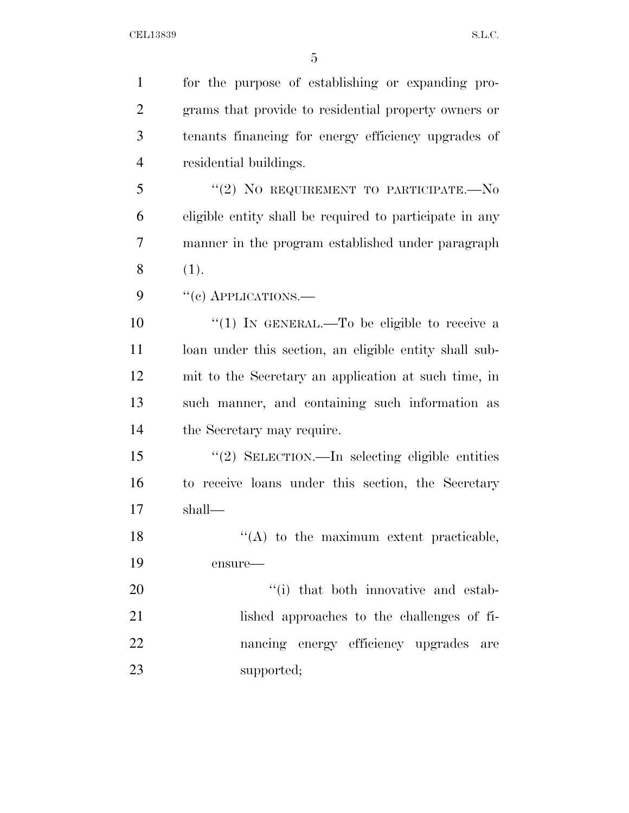| $\mathbf{1}$   | for the purpose of establishing or expanding pro-       |
|----------------|---------------------------------------------------------|
| $\overline{2}$ | grams that provide to residential property owners or    |
| 3              | tenants financing for energy efficiency upgrades of     |
| $\overline{4}$ | residential buildings.                                  |
| 5              | "(2) NO REQUIREMENT TO PARTICIPATE.- $No$               |
| 6              | eligible entity shall be required to participate in any |
| $\overline{7}$ | manner in the program established under paragraph       |
| 8              | (1).                                                    |
| 9              | $``(e)$ APPLICATIONS.—                                  |
| 10             | "(1) IN GENERAL.—To be eligible to receive a            |
| 11             | loan under this section, an eligible entity shall sub-  |
| 12             | mit to the Secretary an application at such time, in    |
| 13             | such manner, and containing such information as         |
| 14             | the Secretary may require.                              |
| 15             | "(2) SELECTION.—In selecting eligible entities          |
| 16             | to receive loans under this section, the Secretary      |
| 17             | shall—                                                  |
| 18             | $\lq\lq$ to the maximum extent practicable,             |
| 19             | ensure-                                                 |
| 20             | "(i) that both innovative and estab-                    |
| 21             | lished approaches to the challenges of fi-              |
| 22             | nancing energy efficiency upgrades are                  |
| 23             | supported;                                              |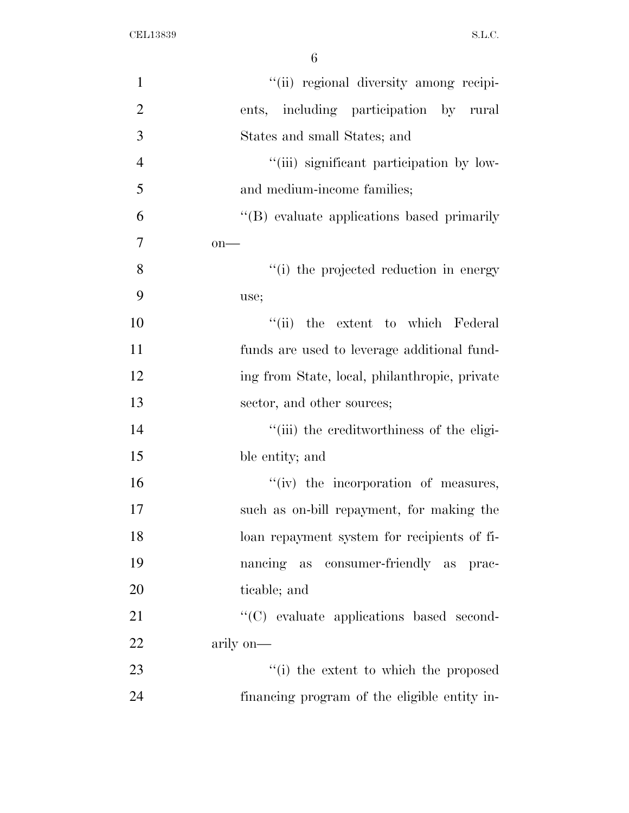| $\mathbf{1}$   | "(ii) regional diversity among recipi-        |
|----------------|-----------------------------------------------|
| $\overline{2}$ | ents, including participation by rural        |
| 3              | States and small States; and                  |
| $\overline{4}$ | "(iii) significant participation by low-      |
| 5              | and medium-income families;                   |
| 6              | "(B) evaluate applications based primarily    |
| 7              | $on$ —                                        |
| 8              | "(i) the projected reduction in energy        |
| 9              | use;                                          |
| 10             | "(ii) the extent to which Federal             |
| 11             | funds are used to leverage additional fund-   |
| 12             | ing from State, local, philanthropic, private |
| 13             | sector, and other sources;                    |
| 14             | "(iii) the creditworthiness of the eligi-     |
| 15             | ble entity; and                               |
| 16             | "(iv) the incorporation of measures,          |
| 17             | such as on-bill repayment, for making the     |
| 18             | loan repayment system for recipients of fi-   |
| 19             | nancing as consumer-friendly as prac-         |
| 20             | ticable; and                                  |
| 21             | "(C) evaluate applications based second-      |
| 22             | arily on-                                     |
| 23             | "(i) the extent to which the proposed         |
| 24             | financing program of the eligible entity in-  |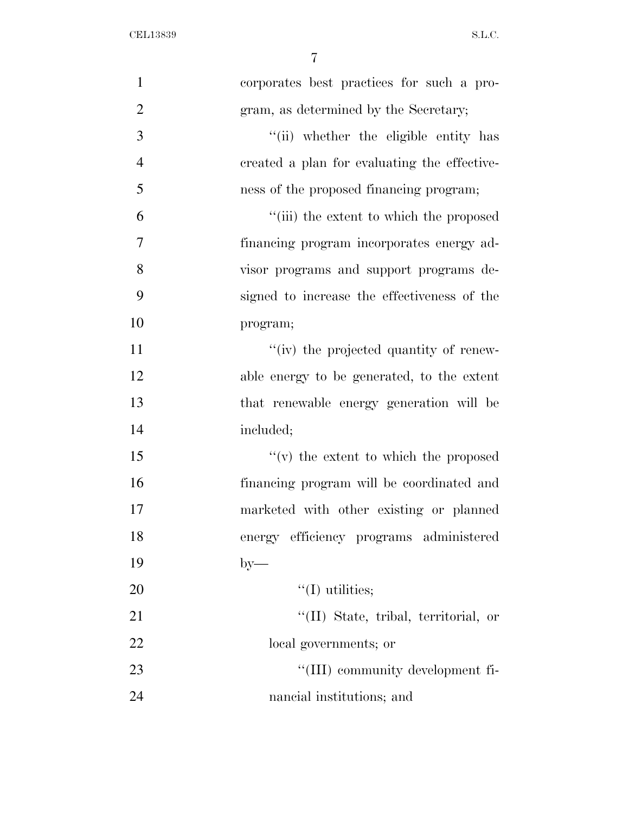| $\mathbf{1}$   | corporates best practices for such a pro-    |
|----------------|----------------------------------------------|
| $\overline{2}$ | gram, as determined by the Secretary;        |
| 3              | "(ii) whether the eligible entity has        |
| $\overline{4}$ | created a plan for evaluating the effective- |
| 5              | ness of the proposed financing program;      |
| 6              | "(iii) the extent to which the proposed      |
| 7              | financing program incorporates energy ad-    |
| 8              | visor programs and support programs de-      |
| 9              | signed to increase the effectiveness of the  |
| 10             | program;                                     |
| 11             | "(iv) the projected quantity of renew-       |
| 12             | able energy to be generated, to the extent   |
| 13             | that renewable energy generation will be     |
| 14             | included;                                    |
| 15             | $f'(v)$ the extent to which the proposed     |
| 16             | financing program will be coordinated and    |
| 17             | marketed with other existing or planned      |
| 18             | energy efficiency programs administered      |
| 19             | $by-$                                        |
| 20             | $\lq\lq$ (I) utilities;                      |
| 21             | "(II) State, tribal, territorial, or         |
| 22             | local governments; or                        |
| 23             | "(III) community development fi-             |
| 24             | nancial institutions; and                    |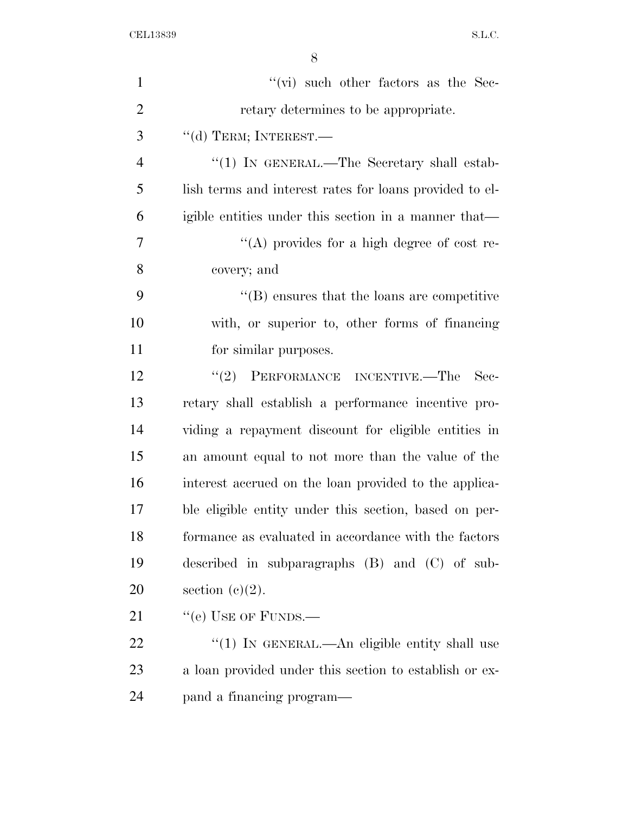| $\mathbf{1}$   | $``$ (vi) such other factors as the Sec-                |
|----------------|---------------------------------------------------------|
| $\overline{2}$ | retary determines to be appropriate.                    |
| 3              | $\lq\lq$ (d) TERM; INTEREST.—                           |
| $\overline{4}$ | "(1) IN GENERAL.—The Secretary shall estab-             |
| 5              | lish terms and interest rates for loans provided to el- |
| 6              | igible entities under this section in a manner that—    |
| 7              | "(A) provides for a high degree of cost re-             |
| 8              | covery; and                                             |
| 9              | $\lq\lq$ ensures that the loans are competitive         |
| 10             | with, or superior to, other forms of financing          |
| 11             | for similar purposes.                                   |
| 12             | PERFORMANCE INCENTIVE.-The<br>(2)<br>$\rm Sec-$         |
| 13             | retary shall establish a performance incentive pro-     |
| 14             | viding a repayment discount for eligible entities in    |
| 15             | an amount equal to not more than the value of the       |
| 16             | interest accrued on the loan provided to the applica-   |
| 17             | ble eligible entity under this section, based on per-   |
| 18             | formance as evaluated in accordance with the factors    |
| 19             | described in subparagraphs $(B)$ and $(C)$ of sub-      |
| 20             | section $(c)(2)$ .                                      |
| 21             | "(e) USE OF FUNDS.—                                     |
| 22             | "(1) IN GENERAL.—An eligible entity shall use           |
| 23             | a loan provided under this section to establish or ex-  |
| 24             | pand a financing program—                               |
|                |                                                         |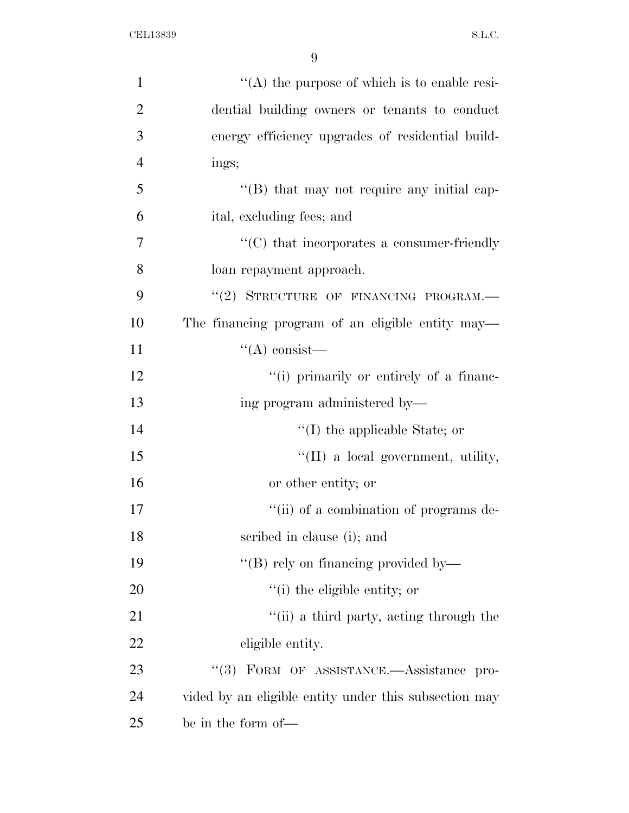| $\mathbf{1}$   | $\lq\lq$ the purpose of which is to enable resi-      |
|----------------|-------------------------------------------------------|
| $\overline{2}$ | dential building owners or tenants to conduct         |
| 3              | energy efficiency upgrades of residential build-      |
| $\overline{4}$ | ings;                                                 |
| 5              | "(B) that may not require any initial cap-            |
| 6              | ital, excluding fees; and                             |
| $\overline{7}$ | $\cdot$ (C) that incorporates a consumer-friendly     |
| 8              | loan repayment approach.                              |
| 9              | "(2) STRUCTURE OF FINANCING PROGRAM.-                 |
| 10             | The financing program of an eligible entity may—      |
| 11             | $\lq\lq$ consist—                                     |
| 12             | "(i) primarily or entirely of a financ-               |
| 13             | ing program administered by-                          |
| 14             | $\lq\lq$ the applicable State; or                     |
| 15             | $\lq\lq$ (II) a local government, utility,            |
| 16             | or other entity; or                                   |
| 17             | "(ii) of a combination of programs de-                |
| 18             | scribed in clause (i); and                            |
| 19             | "(B) rely on financing provided by—                   |
| 20             | "(i) the eligible entity; or                          |
| 21             | "(ii) a third party, acting through the               |
| 22             | eligible entity.                                      |
| 23             | "(3) FORM OF ASSISTANCE.- Assistance pro-             |
| 24             | vided by an eligible entity under this subsection may |
| 25             | be in the form of—                                    |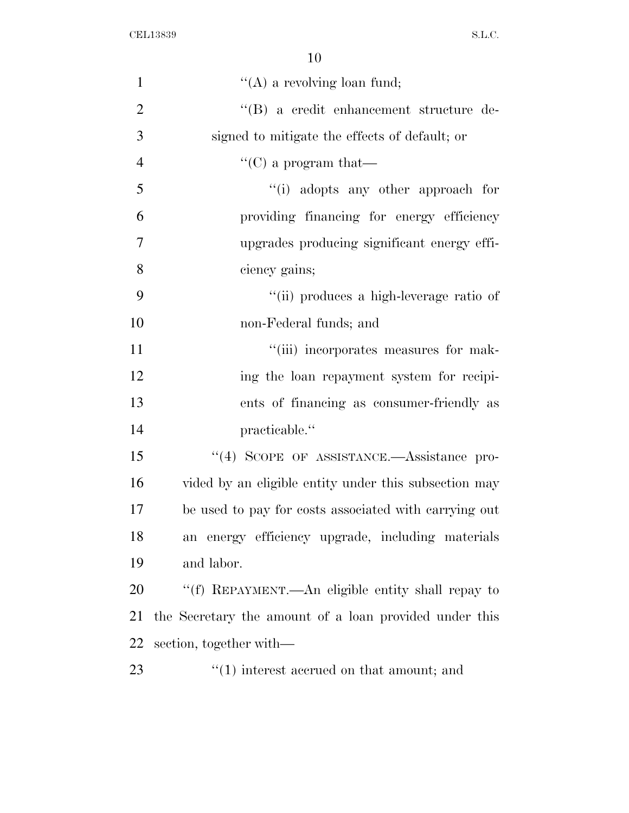| $\mathbf{1}$   | $\lq\lq$ (A) a revolving loan fund;                       |
|----------------|-----------------------------------------------------------|
| $\overline{2}$ | "(B) a credit enhancement structure de-                   |
| 3              | signed to mitigate the effects of default; or             |
| $\overline{4}$ | $\lq\lq$ (C) a program that—                              |
| 5              | "(i) adopts any other approach for                        |
| 6              | providing financing for energy efficiency                 |
| 7              | upgrades producing significant energy effi-               |
| 8              | ciency gains;                                             |
| 9              | "(ii) produces a high-leverage ratio of                   |
| 10             | non-Federal funds; and                                    |
| 11             | "(iii) incorporates measures for mak-                     |
| 12             | ing the loan repayment system for recipi-                 |
| 13             | ents of financing as consumer-friendly as                 |
| 14             | practicable."                                             |
| 15             | "(4) SCOPE OF ASSISTANCE.- Assistance pro-                |
| 16             | vided by an eligible entity under this subsection may     |
| 17             | be used to pay for costs associated with carrying out     |
| 18             | an energy efficiency upgrade, including materials         |
| 19             | and labor.                                                |
| 20             | "(f) REPAYMENT.—An eligible entity shall repay to         |
| 21             | the Secretary the amount of a loan provided under this    |
| 22             | section, together with—                                   |
| 23             | $\cdot\cdot\cdot(1)$ interest accrued on that amount; and |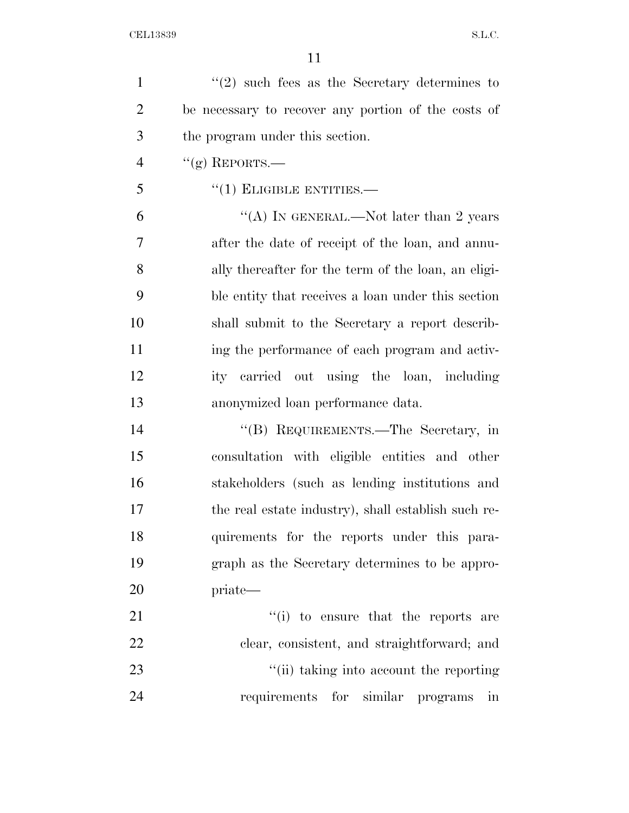$\frac{1}{2}$  such fees as the Secretary determines to be necessary to recover any portion of the costs of the program under this section. "(g) REPORTS.—

"(1) ELIGIBLE ENTITIES.—

 $"$ (A) IN GENERAL.—Not later than 2 years after the date of receipt of the loan, and annu- ally thereafter for the term of the loan, an eligi- ble entity that receives a loan under this section shall submit to the Secretary a report describ- ing the performance of each program and activ- ity carried out using the loan, including anonymized loan performance data.

 ''(B) REQUIREMENTS.—The Secretary, in consultation with eligible entities and other stakeholders (such as lending institutions and the real estate industry), shall establish such re- quirements for the reports under this para- graph as the Secretary determines to be appro-priate—

 $\frac{1}{2}$  to ensure that the reports are clear, consistent, and straightforward; and 23 ''(ii) taking into account the reporting requirements for similar programs in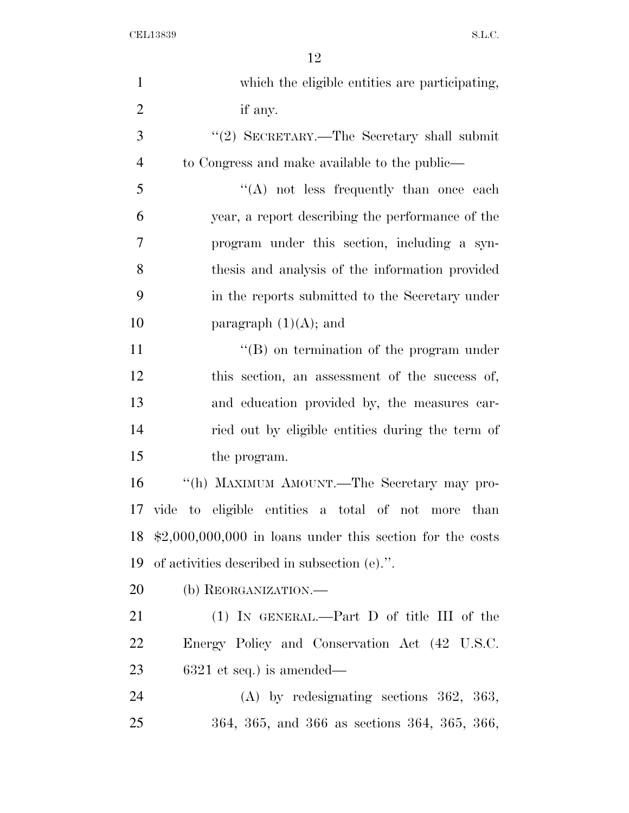| $\mathbf{1}$   | which the eligible entities are participating,                    |
|----------------|-------------------------------------------------------------------|
| $\overline{2}$ | if any.                                                           |
| 3              | "(2) SECRETARY.—The Secretary shall submit                        |
| $\overline{4}$ | to Congress and make available to the public—                     |
| 5              | $\lq\lq$ not less frequently than once each                       |
| 6              | year, a report describing the performance of the                  |
| 7              | program under this section, including a syn-                      |
| 8              | thesis and analysis of the information provided                   |
| 9              | in the reports submitted to the Secretary under                   |
| 10             | paragraph $(1)(A)$ ; and                                          |
| 11             | $\lq\lq (B)$ on termination of the program under                  |
| 12             | this section, an assessment of the success of,                    |
| 13             | and education provided by, the measures car-                      |
| 14             | ried out by eligible entities during the term of                  |
| 15             | the program.                                                      |
| 16             | "(h) MAXIMUM AMOUNT.—The Secretary may pro-                       |
| 17             | vide to eligible entities a total of not more than                |
| 18             | $\text{$2,000,000,000}$ in loans under this section for the costs |
| 19             | of activities described in subsection (e).".                      |
| 20             | (b) REORGANIZATION.—                                              |
| 21             | $(1)$ IN GENERAL.—Part D of title III of the                      |
| 22             | Energy Policy and Conservation Act (42 U.S.C.                     |
| 23             | $6321$ et seq.) is amended—                                       |
| 24             | $(A)$ by redesignating sections 362, 363,                         |
| 25             | 364, 365, and 366 as sections 364, 365, 366,                      |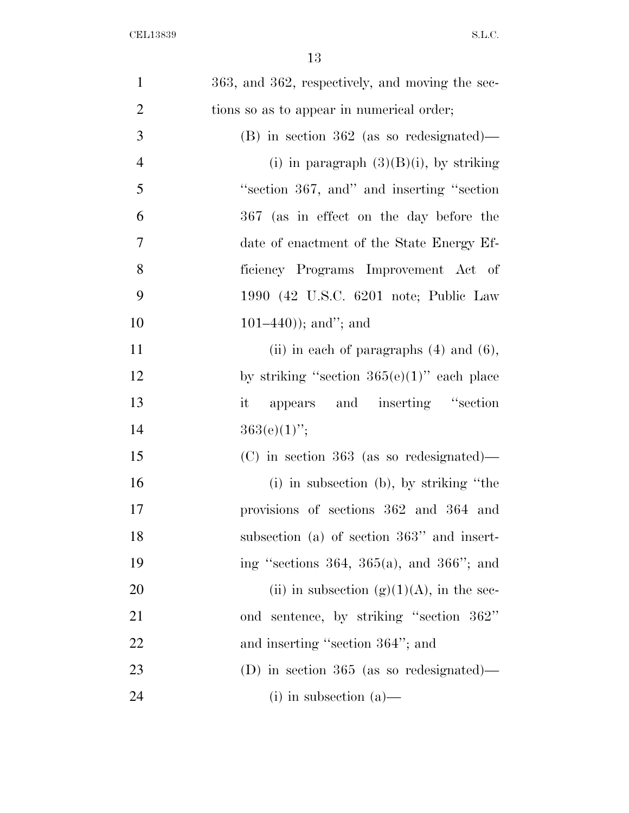| $\mathbf{1}$   | 363, and 362, respectively, and moving the sec- |
|----------------|-------------------------------------------------|
| $\overline{2}$ | tions so as to appear in numerical order;       |
| 3              | $(B)$ in section 362 (as so redesignated)—      |
| $\overline{4}$ | (i) in paragraph $(3)(B)(i)$ , by striking      |
| 5              | "section 367, and" and inserting "section"      |
| 6              | 367 (as in effect on the day before the         |
| 7              | date of enactment of the State Energy Ef-       |
| 8              | ficiency Programs Improvement Act of            |
| 9              | 1990 (42 U.S.C. 6201 note; Public Law           |
| 10             | $101-440$ ); and"; and                          |
| 11             | (ii) in each of paragraphs $(4)$ and $(6)$ ,    |
| 12             | by striking "section $365(e)(1)$ " each place   |
| 13             | appears and inserting "section"<br>it           |
| 14             | $363(e)(1)$ ";                                  |
| 15             | $(C)$ in section 363 (as so redesignated)—      |
| 16             | (i) in subsection (b), by striking "the         |
| 17             | provisions of sections 362 and 364 and          |
| 18             | subsection (a) of section $363"$ and insert-    |
| 19             | ing "sections 364, 365(a), and 366"; and        |
| 20             | (ii) in subsection (g)(1)(A), in the sec-       |
| 21             | ond sentence, by striking "section 362"         |
| <u>22</u>      | and inserting "section 364"; and                |
| 23             | (D) in section $365$ (as so redesignated)—      |
| 24             | $(i)$ in subsection $(a)$ —                     |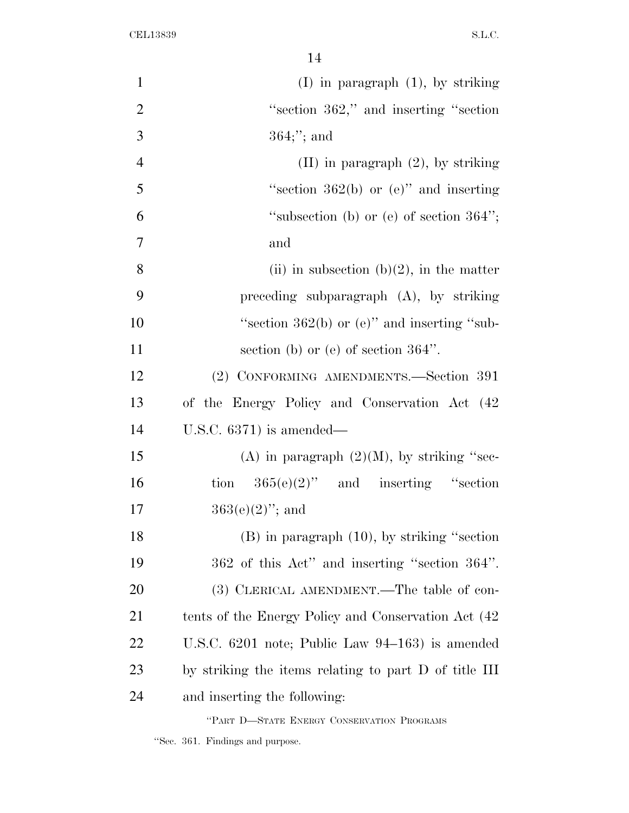| $\mathbf{1}$   | $(I)$ in paragraph $(1)$ , by striking                |
|----------------|-------------------------------------------------------|
| $\overline{2}$ | "section 362," and inserting "section"                |
| 3              | $364;$ "; and                                         |
| $\overline{4}$ | $(II)$ in paragraph $(2)$ , by striking               |
| 5              | "section $362(b)$ or (e)" and inserting               |
| 6              | "subsection (b) or (e) of section $364$ ";            |
| $\overline{7}$ | and                                                   |
| 8              | (ii) in subsection (b)(2), in the matter              |
| 9              | preceding subparagraph $(A)$ , by striking            |
| 10             | "section 362(b) or (e)" and inserting "sub-           |
| 11             | section (b) or (e) of section $364$ ".                |
| 12             | (2) CONFORMING AMENDMENTS.-Section 391                |
| 13             | of the Energy Policy and Conservation Act (42         |
| 14             | U.S.C. $6371$ ) is amended—                           |
| 15             | (A) in paragraph $(2)(M)$ , by striking "sec-         |
| 16             | tion $365(e)(2)$ " and inserting "section             |
| 17             | $363(e)(2)$ "; and                                    |
| 18             | $(B)$ in paragraph $(10)$ , by striking "section"     |
| 19             | 362 of this Act" and inserting "section 364".         |
| 20             | (3) CLERICAL AMENDMENT.—The table of con-             |
| 21             | tents of the Energy Policy and Conservation Act (42   |
| 22             | U.S.C. $6201$ note; Public Law $94-163$ is amended    |
| 23             | by striking the items relating to part D of title III |
| 24             | and inserting the following:                          |
|                | "PART D-STATE ENERGY CONSERVATION PROGRAMS            |

''Sec. 361. Findings and purpose.